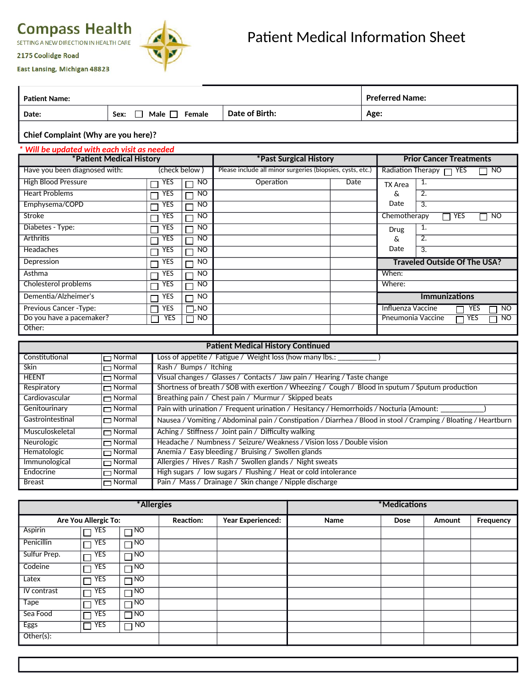

East Lansing, Michigan 48823

2175 Coolidge Road

| <b>Patient Name:</b> |                        |                | <b>Preferred Name:</b> |
|----------------------|------------------------|----------------|------------------------|
| Date:                | Male<br>Female<br>Sex: | Date of Birth: | Age:                   |
|                      |                        |                |                        |

## **Chief Complaint (Why are you here)?**

| * Will be updated with each visit as needed |                 |                        |                                                            |                                |                   |                                     |  |
|---------------------------------------------|-----------------|------------------------|------------------------------------------------------------|--------------------------------|-------------------|-------------------------------------|--|
| *Patient Medical History                    |                 | *Past Surgical History |                                                            | <b>Prior Cancer Treatments</b> |                   |                                     |  |
| Have you been diagnosed with:               | (check below)   |                        | Please include all minor surgeries (biopsies, cysts, etc.) |                                |                   | Radiation Therapy 7 YES<br>NO       |  |
| <b>High Blood Pressure</b>                  | YES<br>П        | NO.                    | Operation                                                  | Date                           | TX Area           | 1.                                  |  |
| <b>Heart Problems</b>                       | YES<br>П        | NO                     |                                                            |                                | &                 | 2.                                  |  |
| Emphysema/COPD                              | <b>YES</b><br>П | NO.                    |                                                            |                                | Date              | $\overline{3}$ .                    |  |
| Stroke                                      | YES             | NO                     |                                                            |                                | Chemotherapy      | <b>YES</b><br><b>NO</b><br>٦        |  |
| Diabetes - Type:                            | YES             | NO                     |                                                            |                                | <b>Drug</b>       | 1.                                  |  |
| <b>Arthritis</b>                            | YES             | NO                     |                                                            |                                | &.                | $\overline{2}$ .                    |  |
| <b>Headaches</b>                            | YES<br>┌        | NO                     |                                                            |                                | Date              | 3.                                  |  |
| Depression                                  | YES<br>П        | <b>NO</b>              |                                                            |                                |                   | <b>Traveled Outside Of The USA?</b> |  |
| Asthma                                      | YES             | NO                     |                                                            |                                | When:             |                                     |  |
| Cholesterol problems                        | YES<br>Π        | NO                     |                                                            |                                | Where:            |                                     |  |
| Dementia/Alzheimer's                        | <b>YES</b>      | NO                     |                                                            |                                |                   | <b>Immunizations</b>                |  |
| Previous Cancer - Type:                     | YES<br>Г        | <b>NO</b>              |                                                            |                                | Influenza Vaccine | N <sub>O</sub><br><b>YES</b>        |  |
| Do you have a pacemaker?                    | YES             | NO.                    |                                                            |                                | Pneumonia Vaccine | <b>NO</b><br>YES                    |  |
| Other:                                      |                 |                        |                                                            |                                |                   |                                     |  |

| <b>Patient Medical History Continued</b> |               |                                                                                                                 |  |  |  |  |  |
|------------------------------------------|---------------|-----------------------------------------------------------------------------------------------------------------|--|--|--|--|--|
| Constitutional                           | $\Box$ Normal | Loss of appetite / Fatigue / Weight loss (how many lbs.:                                                        |  |  |  |  |  |
| Skin                                     | $\Box$ Normal | Rash / Bumps / Itching                                                                                          |  |  |  |  |  |
| <b>HEENT</b>                             | $\Box$ Normal | Visual changes / Glasses / Contacts / Jaw pain / Hearing / Taste change                                         |  |  |  |  |  |
| Respiratory                              | $\Box$ Normal | Shortness of breath / SOB with exertion / Wheezing / Cough / Blood in sputum / Sputum production                |  |  |  |  |  |
| Cardiovascular                           | $\Box$ Normal | Breathing pain / Chest pain / Murmur / Skipped beats                                                            |  |  |  |  |  |
| Genitourinary                            | $\Box$ Normal | Pain with urination / Frequent urination / Hesitancy / Hemorrhoids / Nocturia (Amount:                          |  |  |  |  |  |
| Gastrointestinal                         | $\Box$ Normal | Nausea / Vomiting / Abdominal pain / Constipation / Diarrhea / Blood in stool / Cramping / Bloating / Heartburn |  |  |  |  |  |
| Musculoskeletal                          | $\Box$ Normal | Aching / Stiffness / Joint pain / Difficulty walking                                                            |  |  |  |  |  |
| Neurologic                               | $\Box$ Normal | Headache / Numbness / Seizure/ Weakness / Vision loss / Double vision                                           |  |  |  |  |  |
| Hematologic                              | $\Box$ Normal | Anemia / Easy bleeding / Bruising / Swollen glands                                                              |  |  |  |  |  |
| Immunological                            | $\Box$ Normal | Allergies / Hives / Rash / Swollen glands / Night sweats                                                        |  |  |  |  |  |
| Endocrine                                | $\Box$ Normal | High sugars / low sugars / Flushing / Heat or cold intolerance                                                  |  |  |  |  |  |
| <b>Breast</b>                            | $\Box$ Normal | Pain / Mass / Drainage / Skin change / Nipple discharge                                                         |  |  |  |  |  |

|                      |                      | *Allergies |                                              | *Medications |      |      |        |           |  |
|----------------------|----------------------|------------|----------------------------------------------|--------------|------|------|--------|-----------|--|
| Are You Allergic To: |                      |            | <b>Year Experienced:</b><br><b>Reaction:</b> |              | Name | Dose | Amount | Frequency |  |
| Aspirin              | YES<br>$\Box$        | $\Box$ NO  |                                              |              |      |      |        |           |  |
| Penicillin           | YES<br>$\Box$        | $\Box$ NO  |                                              |              |      |      |        |           |  |
| Sulfur Prep.         | <b>YES</b><br>$\Box$ | $\Box$ NO  |                                              |              |      |      |        |           |  |
| Codeine              | <b>YES</b><br>$\Box$ | $\Box$ NO  |                                              |              |      |      |        |           |  |
| Latex                | YES<br>$\Box$        | $\Box$ NO  |                                              |              |      |      |        |           |  |
| IV contrast          | YES<br>$\Box$        | $\Box$ NO  |                                              |              |      |      |        |           |  |
| <b>Tape</b>          | <b>YES</b><br>$\Box$ | $\Box$ NO  |                                              |              |      |      |        |           |  |
| Sea Food             | YES<br>П             | $\Box$ NO  |                                              |              |      |      |        |           |  |
| <b>Eggs</b>          | YES<br>$\Box$        | NO<br>П    |                                              |              |      |      |        |           |  |
| Other(s):            |                      |            |                                              |              |      |      |        |           |  |